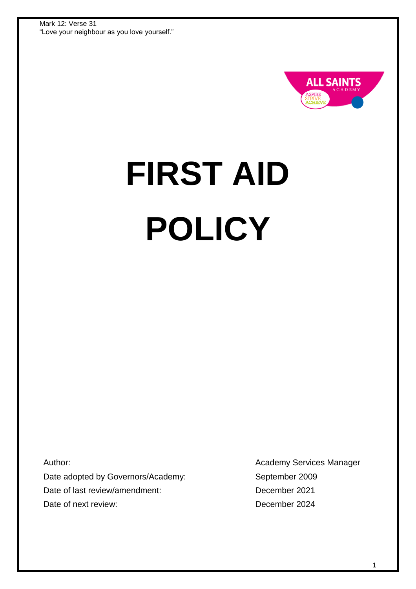

# **FIRST AID POLICY**

Author: Date adopted by Governors/Academy: Date of last review/amendment: Date of next review:

Academy Services Manager September 2009 December 2021 December 2024

1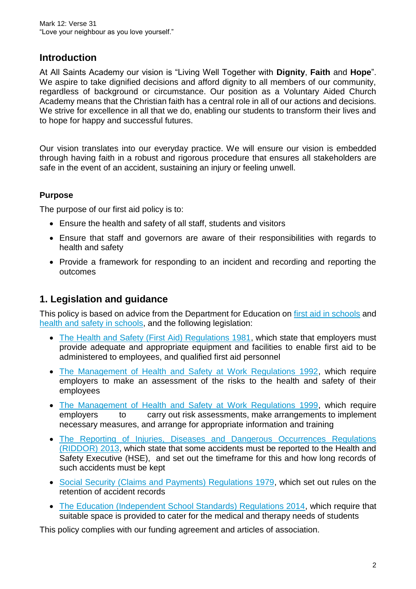#### **Introduction**

At All Saints Academy our vision is "Living Well Together with **Dignity**, **Faith** and **Hope**". We aspire to take dignified decisions and afford dignity to all members of our community. regardless of background or circumstance. Our position as a Voluntary Aided Church Academy means that the Christian faith has a central role in all of our actions and decisions. We strive for excellence in all that we do, enabling our students to transform their lives and to hope for happy and successful futures.

Our vision translates into our everyday practice. We will ensure our vision is embedded through having faith in a robust and rigorous procedure that ensures all stakeholders are safe in the event of an accident, sustaining an injury or feeling unwell.

#### **Purpose**

The purpose of our first aid policy is to:

- Ensure the health and safety of all staff, students and visitors
- Ensure that staff and governors are aware of their responsibilities with regards to health and safety
- Provide a framework for responding to an incident and recording and reporting the outcomes

#### **1. Legislation and guidance**

This policy is based on advice from the Department for Education on [first aid in schools](https://www.gov.uk/government/publications/first-aid-in-schools) and [health and safety in schools,](https://www.gov.uk/government/publications/health-and-safety-advice-for-schools) and the following legislation:

- [The Health and Safety \(First Aid\) Regulations 1981,](http://www.legislation.gov.uk/uksi/1981/917/regulation/3/made) which state that employers must provide adequate and appropriate equipment and facilities to enable first aid to be administered to employees, and qualified first aid personnel
- [The Management of Health and Safety at Work Regulations 1992,](http://www.legislation.gov.uk/uksi/1992/2051/regulation/3/made) which require employers to make an assessment of the risks to the health and safety of their employees
- [The Management of Health and Safety at Work Regulations 1999,](http://www.legislation.gov.uk/uksi/1999/3242/contents/made) which require employers to carry out risk assessments, make arrangements to implement necessary measures, and arrange for appropriate information and training
- [The Reporting of Injuries, Diseases and Dangerous Occurrences Regulations](http://www.legislation.gov.uk/uksi/2013/1471/schedule/1/paragraph/1/made)  [\(RIDDOR\) 2013,](http://www.legislation.gov.uk/uksi/2013/1471/schedule/1/paragraph/1/made) which state that some accidents must be reported to the Health and Safety Executive (HSE), and set out the timeframe for this and how long records of such accidents must be kept
- [Social Security \(Claims and Payments\) Regulations 1979,](http://www.legislation.gov.uk/uksi/1979/628) which set out rules on the retention of accident records
- [The Education \(Independent School Standards\) Regulations 2014,](http://www.legislation.gov.uk/uksi/2014/3283/schedule/made) which require that suitable space is provided to cater for the medical and therapy needs of students

This policy complies with our funding agreement and articles of association.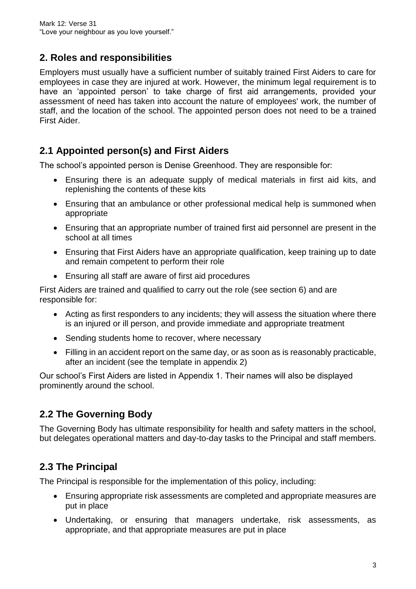#### **2. Roles and responsibilities**

Employers must usually have a sufficient number of suitably trained First Aiders to care for employees in case they are injured at work. However, the minimum legal requirement is to have an 'appointed person' to take charge of first aid arrangements, provided your assessment of need has taken into account the nature of employees' work, the number of staff, and the location of the school. The appointed person does not need to be a trained First Aider.

#### **2.1 Appointed person(s) and First Aiders**

The school's appointed person is Denise Greenhood. They are responsible for:

- Ensuring there is an adequate supply of medical materials in first aid kits, and replenishing the contents of these kits
- Ensuring that an ambulance or other professional medical help is summoned when appropriate
- Ensuring that an appropriate number of trained first aid personnel are present in the school at all times
- Ensuring that First Aiders have an appropriate qualification, keep training up to date and remain competent to perform their role
- Ensuring all staff are aware of first aid procedures

First Aiders are trained and qualified to carry out the role (see section 6) and are responsible for:

- Acting as first responders to any incidents; they will assess the situation where there is an injured or ill person, and provide immediate and appropriate treatment
- Sending students home to recover, where necessary
- Filling in an accident report on the same day, or as soon as is reasonably practicable, after an incident (see the template in appendix 2)

Our school's First Aiders are listed in Appendix 1. Their names will also be displayed prominently around the school.

# **2.2 The Governing Body**

The Governing Body has ultimate responsibility for health and safety matters in the school, but delegates operational matters and day-to-day tasks to the Principal and staff members.

# **2.3 The Principal**

The Principal is responsible for the implementation of this policy, including:

- Ensuring appropriate risk assessments are completed and appropriate measures are put in place
- Undertaking, or ensuring that managers undertake, risk assessments, as appropriate, and that appropriate measures are put in place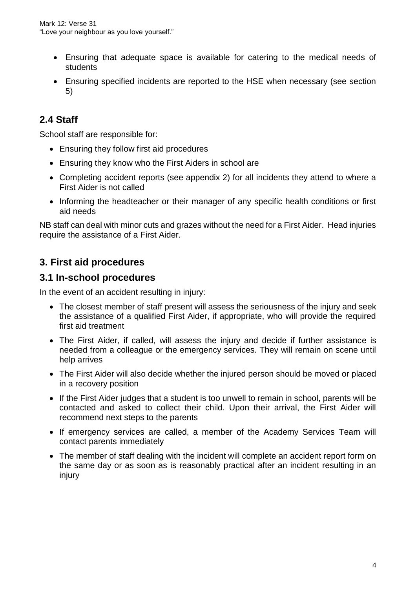- Ensuring that adequate space is available for catering to the medical needs of students
- Ensuring specified incidents are reported to the HSE when necessary (see section 5)

# **2.4 Staff**

School staff are responsible for:

- Ensuring they follow first aid procedures
- Ensuring they know who the First Aiders in school are
- Completing accident reports (see appendix 2) for all incidents they attend to where a First Aider is not called
- Informing the headteacher or their manager of any specific health conditions or first aid needs

NB staff can deal with minor cuts and grazes without the need for a First Aider. Head injuries require the assistance of a First Aider.

#### **3. First aid procedures**

#### **3.1 In-school procedures**

In the event of an accident resulting in injury:

- The closest member of staff present will assess the seriousness of the injury and seek the assistance of a qualified First Aider, if appropriate, who will provide the required first aid treatment
- The First Aider, if called, will assess the injury and decide if further assistance is needed from a colleague or the emergency services. They will remain on scene until help arrives
- The First Aider will also decide whether the injured person should be moved or placed in a recovery position
- If the First Aider judges that a student is too unwell to remain in school, parents will be contacted and asked to collect their child. Upon their arrival, the First Aider will recommend next steps to the parents
- If emergency services are called, a member of the Academy Services Team will contact parents immediately
- The member of staff dealing with the incident will complete an accident report form on the same day or as soon as is reasonably practical after an incident resulting in an injury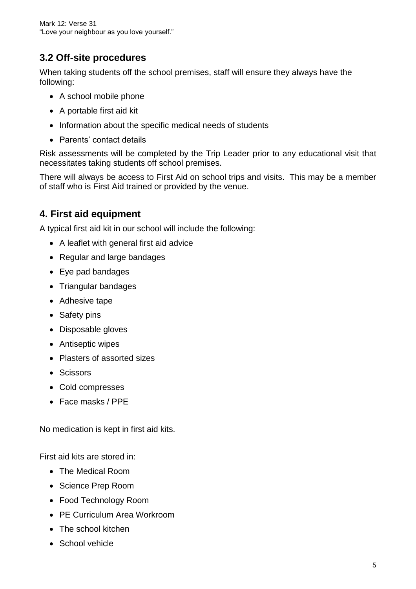# **3.2 Off-site procedures**

When taking students off the school premises, staff will ensure they always have the following:

- A school mobile phone
- A portable first aid kit
- Information about the specific medical needs of students
- Parents' contact details

Risk assessments will be completed by the Trip Leader prior to any educational visit that necessitates taking students off school premises.

There will always be access to First Aid on school trips and visits. This may be a member of staff who is First Aid trained or provided by the venue.

#### **4. First aid equipment**

A typical first aid kit in our school will include the following:

- A leaflet with general first aid advice
- Regular and large bandages
- Eye pad bandages
- Triangular bandages
- Adhesive tape
- Safety pins
- Disposable gloves
- Antiseptic wipes
- Plasters of assorted sizes
- Scissors
- Cold compresses
- Face masks / PPE

No medication is kept in first aid kits.

First aid kits are stored in:

- The Medical Room
- Science Prep Room
- Food Technology Room
- PE Curriculum Area Workroom
- The school kitchen
- School vehicle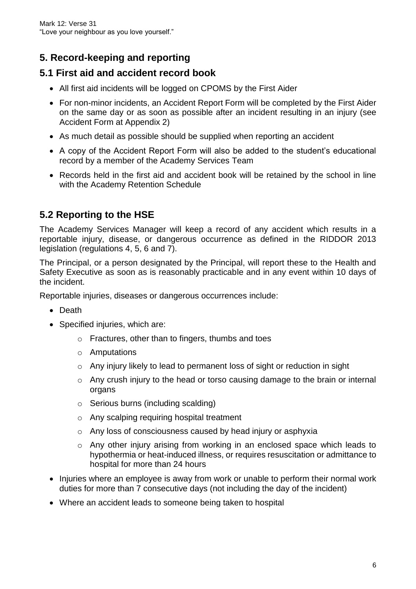# **5. Record-keeping and reporting**

#### **5.1 First aid and accident record book**

- All first aid incidents will be logged on CPOMS by the First Aider
- For non-minor incidents, an Accident Report Form will be completed by the First Aider on the same day or as soon as possible after an incident resulting in an injury (see Accident Form at Appendix 2)
- As much detail as possible should be supplied when reporting an accident
- A copy of the Accident Report Form will also be added to the student's educational record by a member of the Academy Services Team
- Records held in the first aid and accident book will be retained by the school in line with the Academy Retention Schedule

# **5.2 Reporting to the HSE**

The Academy Services Manager will keep a record of any accident which results in a reportable injury, disease, or dangerous occurrence as defined in the RIDDOR 2013 legislation (regulations 4, 5, 6 and 7).

The Principal, or a person designated by the Principal, will report these to the Health and Safety Executive as soon as is reasonably practicable and in any event within 10 days of the incident.

Reportable injuries, diseases or dangerous occurrences include:

- Death
- Specified injuries, which are:
	- o Fractures, other than to fingers, thumbs and toes
	- o Amputations
	- o Any injury likely to lead to permanent loss of sight or reduction in sight
	- o Any crush injury to the head or torso causing damage to the brain or internal organs
	- o Serious burns (including scalding)
	- o Any scalping requiring hospital treatment
	- o Any loss of consciousness caused by head injury or asphyxia
	- $\circ$  Any other injury arising from working in an enclosed space which leads to hypothermia or heat-induced illness, or requires resuscitation or admittance to hospital for more than 24 hours
- Injuries where an employee is away from work or unable to perform their normal work duties for more than 7 consecutive days (not including the day of the incident)
- Where an accident leads to someone being taken to hospital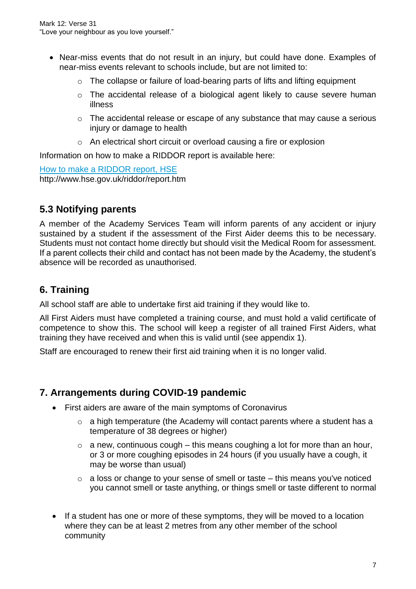- Near-miss events that do not result in an injury, but could have done. Examples of near-miss events relevant to schools include, but are not limited to:
	- o The collapse or failure of load-bearing parts of lifts and lifting equipment
	- o The accidental release of a biological agent likely to cause severe human illness
	- o The accidental release or escape of any substance that may cause a serious injury or damage to health
	- o An electrical short circuit or overload causing a fire or explosion

Information on how to make a RIDDOR report is available here:

[How to make a RIDDOR report, HSE](http://www.hse.gov.uk/riddor/report.htm) http://www.hse.gov.uk/riddor/report.htm

#### **5.3 Notifying parents**

A member of the Academy Services Team will inform parents of any accident or injury sustained by a student if the assessment of the First Aider deems this to be necessary. Students must not contact home directly but should visit the Medical Room for assessment. If a parent collects their child and contact has not been made by the Academy, the student's absence will be recorded as unauthorised.

## **6. Training**

All school staff are able to undertake first aid training if they would like to.

All First Aiders must have completed a training course, and must hold a valid certificate of competence to show this. The school will keep a register of all trained First Aiders, what training they have received and when this is valid until (see appendix 1).

Staff are encouraged to renew their first aid training when it is no longer valid.

#### **7. Arrangements during COVID-19 pandemic**

- First aiders are aware of the main symptoms of Coronavirus
	- $\circ$  a high temperature (the Academy will contact parents where a student has a temperature of 38 degrees or higher)
	- $\circ$  a new, continuous cough this means coughing a lot for more than an hour, or 3 or more coughing episodes in 24 hours (if you usually have a cough, it may be worse than usual)
	- $\circ$  a loss or change to your sense of smell or taste this means you've noticed you cannot smell or taste anything, or things smell or taste different to normal
- If a student has one or more of these symptoms, they will be moved to a location where they can be at least 2 metres from any other member of the school community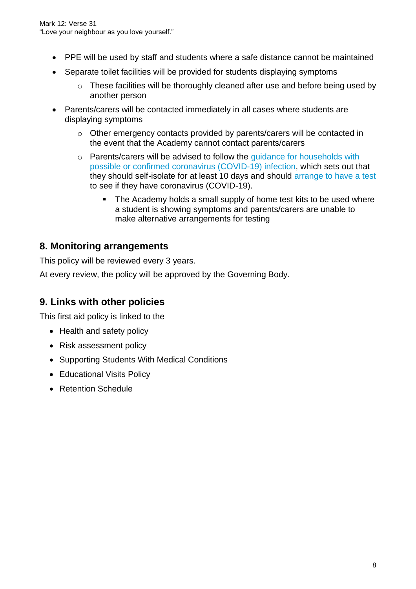- PPE will be used by staff and students where a safe distance cannot be maintained
- Separate toilet facilities will be provided for students displaying symptoms
	- o These facilities will be thoroughly cleaned after use and before being used by another person
- Parents/carers will be contacted immediately in all cases where students are displaying symptoms
	- o Other emergency contacts provided by parents/carers will be contacted in the event that the Academy cannot contact parents/carers
	- o Parents/carers will be advised to follow the [guidance for households with](https://www.gov.uk/government/publications/covid-19-stay-at-home-guidance)  [possible or confirmed coronavirus \(COVID-19\) infection,](https://www.gov.uk/government/publications/covid-19-stay-at-home-guidance) which sets out that they should self-isolate for at least 10 days and should [arrange to have a test](https://www.gov.uk/guidance/coronavirus-covid-19-getting-tested) to see if they have coronavirus (COVID-19).
		- The Academy holds a small supply of home test kits to be used where a student is showing symptoms and parents/carers are unable to make alternative arrangements for testing

#### **8. Monitoring arrangements**

This policy will be reviewed every 3 years.

At every review, the policy will be approved by the Governing Body.

#### **9. Links with other policies**

This first aid policy is linked to the

- Health and safety policy
- Risk assessment policy
- Supporting Students With Medical Conditions
- Educational Visits Policy
- Retention Schedule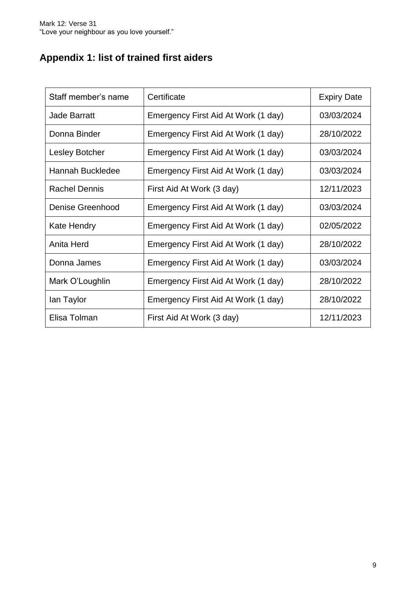# **Appendix 1: list of trained first aiders**

| Staff member's name   | Certificate                         | <b>Expiry Date</b> |  |
|-----------------------|-------------------------------------|--------------------|--|
| <b>Jade Barratt</b>   | Emergency First Aid At Work (1 day) | 03/03/2024         |  |
| Donna Binder          | Emergency First Aid At Work (1 day) | 28/10/2022         |  |
| <b>Lesley Botcher</b> | Emergency First Aid At Work (1 day) | 03/03/2024         |  |
| Hannah Buckledee      | Emergency First Aid At Work (1 day) | 03/03/2024         |  |
| <b>Rachel Dennis</b>  | First Aid At Work (3 day)           | 12/11/2023         |  |
| Denise Greenhood      | Emergency First Aid At Work (1 day) | 03/03/2024         |  |
| <b>Kate Hendry</b>    | Emergency First Aid At Work (1 day) | 02/05/2022         |  |
| Anita Herd            | Emergency First Aid At Work (1 day) | 28/10/2022         |  |
| Donna James           | Emergency First Aid At Work (1 day) | 03/03/2024         |  |
| Mark O'Loughlin       | Emergency First Aid At Work (1 day) | 28/10/2022         |  |
| lan Taylor            | Emergency First Aid At Work (1 day) | 28/10/2022         |  |
| Elisa Tolman          | First Aid At Work (3 day)           | 12/11/2023         |  |